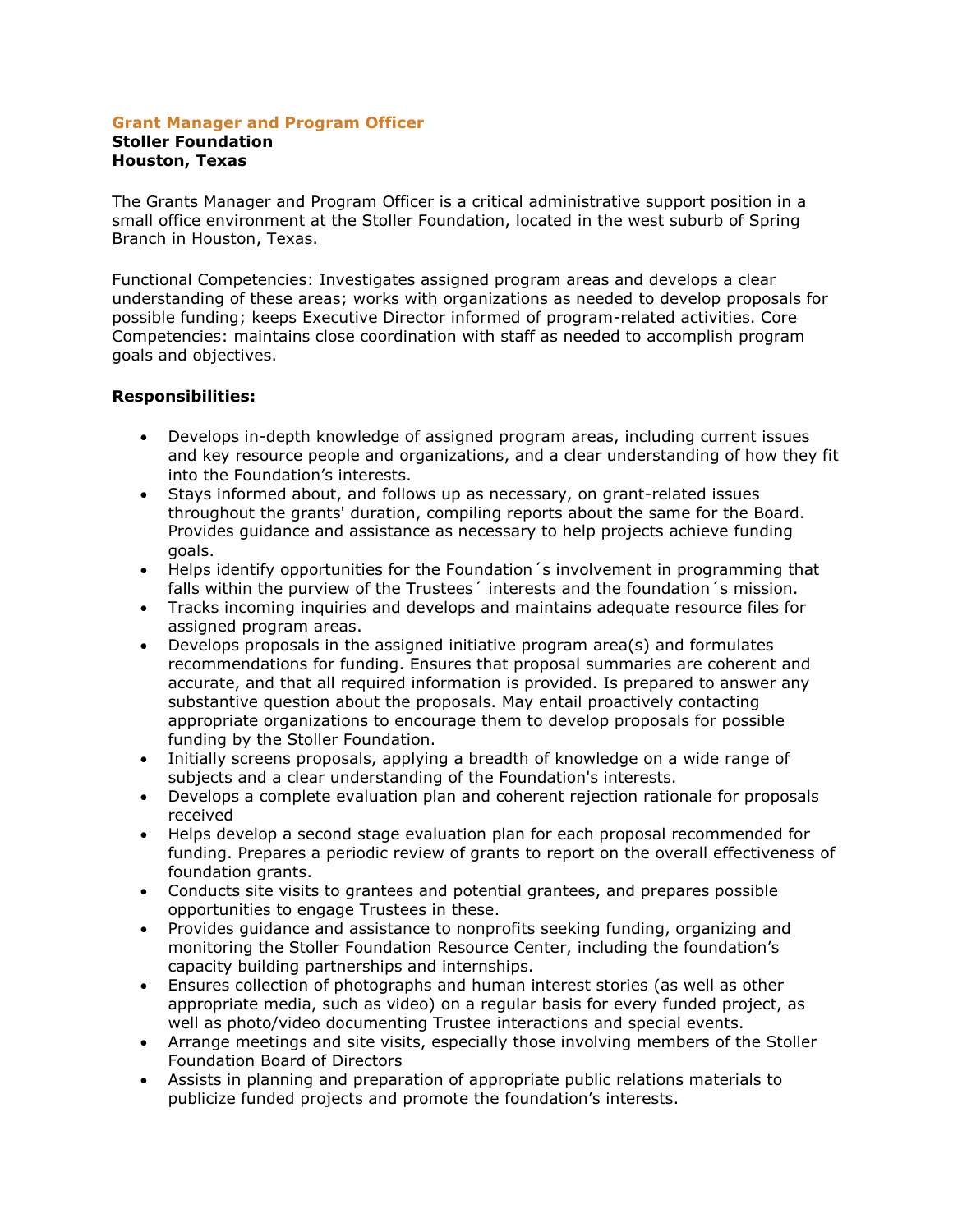#### **Grant Manager and Program Officer Stoller Foundation Houston, Texas**

The Grants Manager and Program Officer is a critical administrative support position in a small office environment at the Stoller Foundation, located in the west suburb of Spring Branch in Houston, Texas.

Functional Competencies: Investigates assigned program areas and develops a clear understanding of these areas; works with organizations as needed to develop proposals for possible funding; keeps Executive Director informed of program-related activities. Core Competencies: maintains close coordination with staff as needed to accomplish program goals and objectives.

## **Responsibilities:**

- Develops in-depth knowledge of assigned program areas, including current issues and key resource people and organizations, and a clear understanding of how they fit into the Foundation's interests.
- Stays informed about, and follows up as necessary, on grant-related issues throughout the grants' duration, compiling reports about the same for the Board. Provides guidance and assistance as necessary to help projects achieve funding goals.
- Helps identify opportunities for the Foundation´s involvement in programming that falls within the purview of the Trustees<sup>'</sup> interests and the foundation's mission.
- Tracks incoming inquiries and develops and maintains adequate resource files for assigned program areas.
- Develops proposals in the assigned initiative program area(s) and formulates recommendations for funding. Ensures that proposal summaries are coherent and accurate, and that all required information is provided. Is prepared to answer any substantive question about the proposals. May entail proactively contacting appropriate organizations to encourage them to develop proposals for possible funding by the Stoller Foundation.
- Initially screens proposals, applying a breadth of knowledge on a wide range of subjects and a clear understanding of the Foundation's interests.
- Develops a complete evaluation plan and coherent rejection rationale for proposals received
- Helps develop a second stage evaluation plan for each proposal recommended for funding. Prepares a periodic review of grants to report on the overall effectiveness of foundation grants.
- Conducts site visits to grantees and potential grantees, and prepares possible opportunities to engage Trustees in these.
- Provides guidance and assistance to nonprofits seeking funding, organizing and monitoring the Stoller Foundation Resource Center, including the foundation's capacity building partnerships and internships.
- Ensures collection of photographs and human interest stories (as well as other appropriate media, such as video) on a regular basis for every funded project, as well as photo/video documenting Trustee interactions and special events.
- Arrange meetings and site visits, especially those involving members of the Stoller Foundation Board of Directors
- Assists in planning and preparation of appropriate public relations materials to publicize funded projects and promote the foundation's interests.